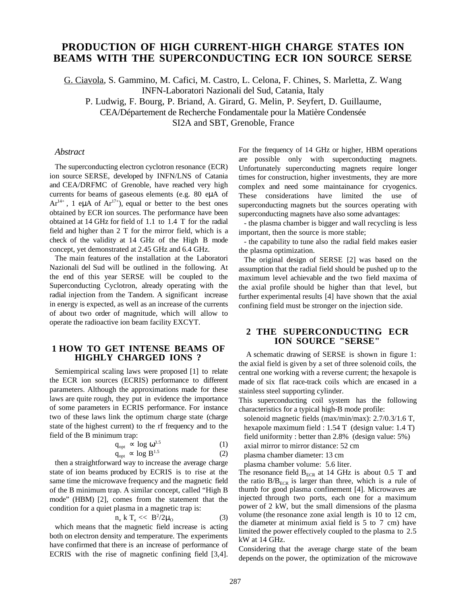# **PRODUCTION OF HIGH CURRENT-HIGH CHARGE STATES ION BEAMS WITH THE SUPERCONDUCTING ECR ION SOURCE SERSE**

G. Ciavola , S. Gammino, M. Cafici, M. Castro, L. Celona, F. Chines, S. Marletta, Z. Wang

INFN-Laboratori Nazionali del Sud, Catania, Italy

P. Ludwig, F. Bourg, P. Briand, A. Girard, G. Melin, P. Seyfert, D. Guillaume,

CEA/Département de Recherche Fondamentale pour la Matière Condensée

SI2A and SBT, Grenoble, France

### *Abstract*

The superconducting electron cyclotron resonance (ECR) ion source SERSE, developed by INFN/LNS of Catania and CEA/DRFMC of Grenoble, have reached very high currents for beams of gaseous elements (e.g. 80 eµA of  $Ar^{14+}$ , 1 eµA of  $Ar^{17+}$ ), equal or better to the best ones obtained by ECR ion sources. The performance have been obtained at 14 GHz for field of 1.1 to 1.4 T for the radial field and higher than 2 T for the mirror field, which is a check of the validity at 14 GHz of the High B mode concept, yet demonstrated at 2.45 GHz and 6.4 GHz.

The main features of the installation at the Laboratori Nazionali del Sud will be outlined in the following. At the end of this year SERSE will be coupled to the Superconducting Cyclotron, already operating with the radial injection from the Tandem. A significant increase in energy is expected, as well as an increase of the currents of about two order of magnitude, which will allow to operate the radioactive ion beam facility EXCYT.

## **1 HOW TO GET INTENSE BEAMS OF HIGHLY CHARGED IONS ?**

Semiempirical scaling laws were proposed [1] to relate the ECR ion sources (ECRIS) performance to different parameters. Although the approximations made for these laws are quite rough, they put in evidence the importance of some parameters in ECRIS performance. For instance two of these laws link the optimum charge state (charge state of the highest current) to the rf frequency and to the field of the B minimum trap:

$$
q_{opt} \propto \log \omega^{3.5} \tag{1}
$$

$$
q_{opt} \propto \log B^{1.5} \tag{2}
$$

then a straightforward way to increase the average charge state of ion beams produced by ECRIS is to rise at the same time the microwave frequency and the magnetic field of the B minimum trap. A similar concept, called "High B mode" (HBM) [2], comes from the statement that the condition for a quiet plasma in a magnetic trap is:

$$
n_e k T_e \ll B^2 / 2\mu_0 \tag{3}
$$

which means that the magnetic field increase is acting both on electron density and temperature. The experiments have confirmed that there is an increase of performance of ECRIS with the rise of magnetic confining field [3,4]. For the frequency of 14 GHz or higher, HBM operations are possible only with superconducting magnets. Unfortunately superconducting magnets require longer times for construction, higher investments, they are more complex and need some maintainance for cryogenics. These considerations have limited the use of superconducting magnets but the sources operating with superconducting magnets have also some advantages:

- the plasma chamber is bigger and wall recycling is less important, then the source is more stable;

- the capability to tune also the radial field makes easier the plasma optimization.

The original design of SERSE [2] was based on the assumption that the radial field should be pushed up to the maximum level achievable and the two field maxima of the axial profile should be higher than that level, but further experimental results [4] have shown that the axial confining field must be stronger on the injection side.

#### **2 THE SUPERCONDUCTING ECR ION SOURCE "SERSE"**

A schematic drawing of SERSE is shown in figure 1: the axial field is given by a set of three solenoid coils, the central one working with a reverse current; the hexapole is made of six flat race-track coils which are encased in a stainless steel supporting cylinder.

This superconducting coil system has the following characteristics for a typical high-B mode profile:

solenoid magnetic fields (max/min/max): 2.7/0.3/1.6 T, hexapole maximum field : 1.54 T (design value: 1.4 T) field uniformity : better than 2.8% (design value: 5%)

axial mirror to mirror distance: 52 cm

plasma chamber diameter: 13 cm

plasma chamber volume: 5.6 liter.

The resonance field  $B_{ECR}$  at 14 GHz is about 0.5 T and the ratio  $B/B<sub>ECR</sub>$  is larger than three, which is a rule of thumb for good plasma confinement [4]. Microwaves are injected through two ports, each one for a maximum power of 2 kW, but the small dimensions of the plasma volume (the resonance zone axial length is 10 to 12 cm, the diameter at minimum axial field is 5 to 7 cm) have limited the power effectively coupled to the plasma to 2.5 kW at 14 GHz.

Considering that the average charge state of the beam depends on the power, the optimization of the microwave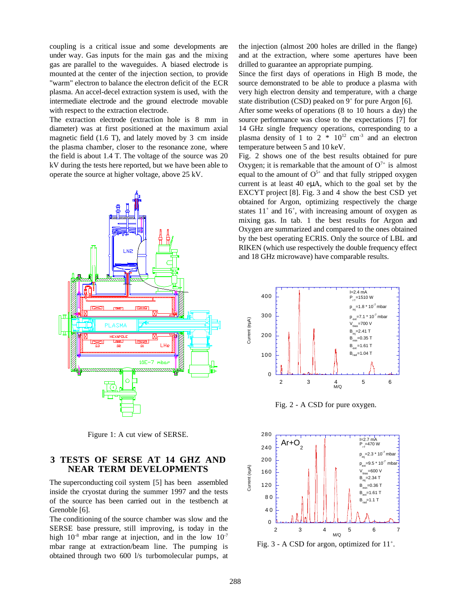coupling is a critical issue and some developments are under way. Gas inputs for the main gas and the mixing gas are parallel to the waveguides. A biased electrode is mounted at the center of the injection section, to provide "warm" electron to balance the electron deficit of the ECR plasma. An accel-decel extraction system is used, with the intermediate electrode and the ground electrode movable with respect to the extraction electrode.

The extraction electrode (extraction hole is 8 mm in diameter) was at first positioned at the maximum axial magnetic field (1.6 T), and lately moved by 3 cm inside the plasma chamber, closer to the resonance zone, where the field is about 1.4 T. The voltage of the source was 20 kV during the tests here reported, but we have been able to operate the source at higher voltage, above 25 kV.



Figure 1: A cut view of SERSE.

## **3 TESTS OF SERSE AT 14 GHZ AND NEAR TERM DEVELOPMENTS**

The superconducting coil system [5] has been assembled inside the cryostat during the summer 1997 and the tests of the source has been carried out in the testbench at Grenoble [6].

The conditioning of the source chamber was slow and the SERSE base pressure, still improving, is today in the high  $10^{-8}$  mbar range at injection, and in the low  $10^{-7}$ mbar range at extraction/beam line. The pumping is obtained through two 600 l/s turbomolecular pumps, at the injection (almost 200 holes are drilled in the flange) and at the extraction, where some apertures have been drilled to guarantee an appropriate pumping.

Since the first days of operations in High B mode, the source demonstrated to be able to produce a plasma with very high electron density and temperature, with a charge state distribution (CSD) peaked on  $9^+$  for pure Argon [6].

After some weeks of operations (8 to 10 hours a day) the source performance was close to the expectations [7] for 14 GHz single frequency operations, corresponding to a plasma density of 1 to  $2 * 10^{12}$  cm<sup>-3</sup> and an electron temperature between 5 and 10 keV.

Fig. 2 shows one of the best results obtained for pure Oxygen; it is remarkable that the amount of  $O^{7+}$  is almost equal to the amount of  $O<sup>5+</sup>$  and that fully stripped oxygen current is at least 40 eµA, which to the goal set by the EXCYT project [8]. Fig. 3 and 4 show the best CSD yet obtained for Argon, optimizing respectively the charge states  $11^+$  and  $16^+$ , with increasing amount of oxygen as mixing gas. In tab. 1 the best results for Argon and Oxygen are summarized and compared to the ones obtained by the best operating ECRIS. Only the source of LBL and RIKEN (which use respectively the double frequency effect and 18 GHz microwave) have comparable results.



Fig. 2 - A CSD for pure oxygen.



Fig.  $3 - A CSD$  for argon, optimized for  $11^+$ .